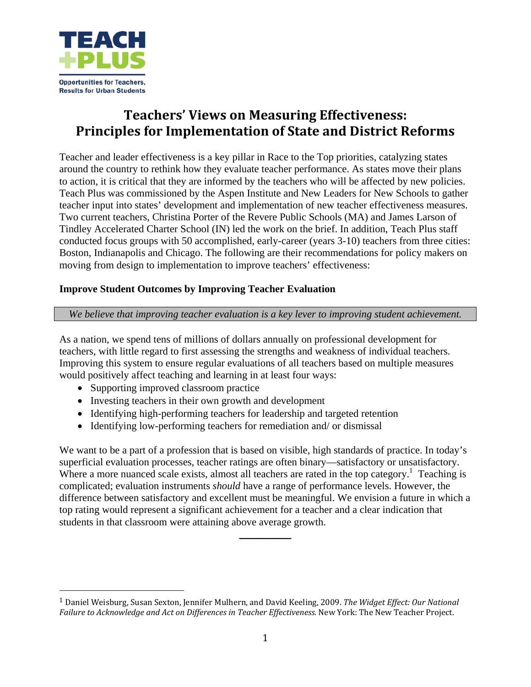

# **Teachers' Views on Measuring Effectiveness: Principles for Implementation of State and District Reforms**

Teacher and leader effectiveness is a key pillar in Race to the Top priorities, catalyzing states around the country to rethink how they evaluate teacher performance. As states move their plans to action, it is critical that they are informed by the teachers who will be affected by new policies. Teach Plus was commissioned by the Aspen Institute and New Leaders for New Schools to gather teacher input into states' development and implementation of new teacher effectiveness measures. Two current teachers, Christina Porter of the Revere Public Schools (MA) and James Larson of Tindley Accelerated Charter School (IN) led the work on the brief. In addition, Teach Plus staff conducted focus groups with 50 accomplished, early-career (years 3-10) teachers from three cities: Boston, Indianapolis and Chicago. The following are their recommendations for policy makers on moving from design to implementation to improve teachers' effectiveness:

# **Improve Student Outcomes by Improving Teacher Evaluation**

## *We believe that improving teacher evaluation is a key lever to improving student achievement.*

As a nation, we spend tens of millions of dollars annually on professional development for teachers, with little regard to first assessing the strengths and weakness of individual teachers. Improving this system to ensure regular evaluations of all teachers based on multiple measures would positively affect teaching and learning in at least four ways:

• Supporting improved classroom practice

- Investing teachers in their own growth and development
- Identifying high-performing teachers for leadership and targeted retention
- Identifying low-performing teachers for remediation and/ or dismissal

We want to be a part of a profession that is based on visible, high standards of practice. In today's superficial evaluation processes, teacher ratings are often binary—satisfactory or unsatisfactory. Where a more nuanced scale exists, almost all teachers are rated in the top category.<sup>1</sup> Teaching is complicated; evaluation instruments *should* have a range of performance levels. However, the difference between satisfactory and excellent must be meaningful. We envision a future in which a top rating would represent a significant achievement for a teacher and a clear indication that students in that classroom were attaining above average growth.

 $\overline{\phantom{a}}$  , where  $\overline{\phantom{a}}$ 

<sup>1</sup> Daniel Weisburg, Susan Sexton, Jennifer Mulhern, and David Keeling, 2009. *The Widget Effect: Our National Failure to Acknowledge and Act on Differences in Teacher Effectiveness.* New York: The New Teacher Project.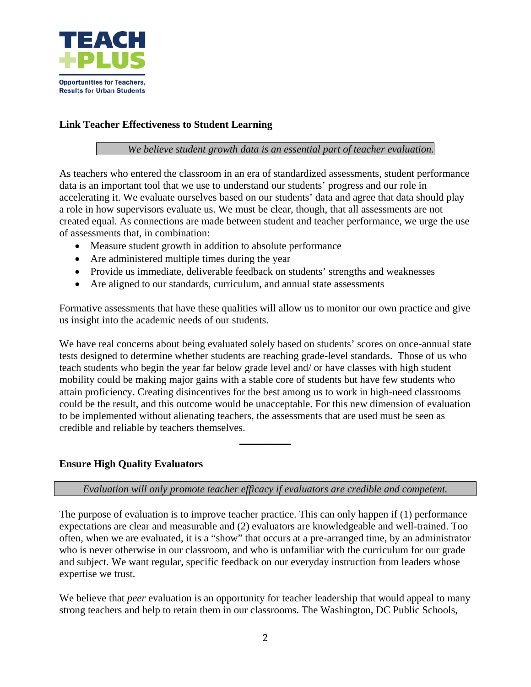

# **Link Teacher Effectiveness to Student Learning**

## *We believe student growth data is an essential part of teacher evaluation.*

As teachers who entered the classroom in an era of standardized assessments, student performance data is an important tool that we use to understand our students' progress and our role in accelerating it. We evaluate ourselves based on our students' data and agree that data should play a role in how supervisors evaluate us. We must be clear, though, that all assessments are not created equal. As connections are made between student and teacher performance, we urge the use of assessments that, in combination:

- Measure student growth in addition to absolute performance
- Are administered multiple times during the year
- Provide us immediate, deliverable feedback on students' strengths and weaknesses
- Are aligned to our standards, curriculum, and annual state assessments

Formative assessments that have these qualities will allow us to monitor our own practice and give us insight into the academic needs of our students.

We have real concerns about being evaluated solely based on students' scores on once-annual state tests designed to determine whether students are reaching grade-level standards. Those of us who teach students who begin the year far below grade level and/ or have classes with high student mobility could be making major gains with a stable core of students but have few students who attain proficiency. Creating disincentives for the best among us to work in high-need classrooms could be the result, and this outcome would be unacceptable. For this new dimension of evaluation to be implemented without alienating teachers, the assessments that are used must be seen as credible and reliable by teachers themselves.

#### **Ensure High Quality Evaluators**

#### *Evaluation will only promote teacher efficacy if evaluators are credible and competent.*

 $\overline{\phantom{a}}$ 

The purpose of evaluation is to improve teacher practice. This can only happen if (1) performance expectations are clear and measurable and (2) evaluators are knowledgeable and well-trained. Too often, when we are evaluated, it is a "show" that occurs at a pre-arranged time, by an administrator who is never otherwise in our classroom, and who is unfamiliar with the curriculum for our grade and subject. We want regular, specific feedback on our everyday instruction from leaders whose expertise we trust.

We believe that *peer* evaluation is an opportunity for teacher leadership that would appeal to many strong teachers and help to retain them in our classrooms. The Washington, DC Public Schools,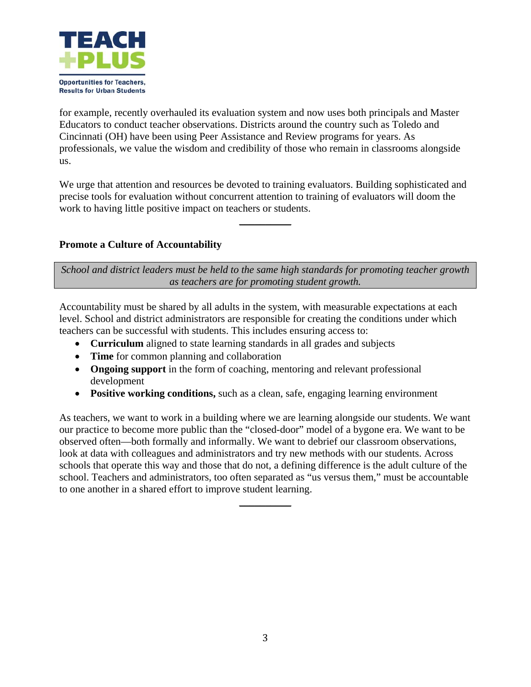

for example, recently overhauled its evaluation system and now uses both principals and Master Educators to conduct teacher observations. Districts around the country such as Toledo and Cincinnati (OH) have been using Peer Assistance and Review programs for years. As professionals, we value the wisdom and credibility of those who remain in classrooms alongside us.

We urge that attention and resources be devoted to training evaluators. Building sophisticated and precise tools for evaluation without concurrent attention to training of evaluators will doom the work to having little positive impact on teachers or students.

 $\frac{1}{2}$ 

# **Promote a Culture of Accountability**

*School and district leaders must be held to the same high standards for promoting teacher growth as teachers are for promoting student growth.* 

Accountability must be shared by all adults in the system, with measurable expectations at each level. School and district administrators are responsible for creating the conditions under which teachers can be successful with students. This includes ensuring access to:

- **Curriculum** aligned to state learning standards in all grades and subjects
- **Time** for common planning and collaboration
- **Ongoing support** in the form of coaching, mentoring and relevant professional development
- **Positive working conditions,** such as a clean, safe, engaging learning environment

As teachers, we want to work in a building where we are learning alongside our students. We want our practice to become more public than the "closed-door" model of a bygone era. We want to be observed often—both formally and informally. We want to debrief our classroom observations, look at data with colleagues and administrators and try new methods with our students. Across schools that operate this way and those that do not, a defining difference is the adult culture of the school. Teachers and administrators, too often separated as "us versus them," must be accountable to one another in a shared effort to improve student learning.

 $\frac{1}{2}$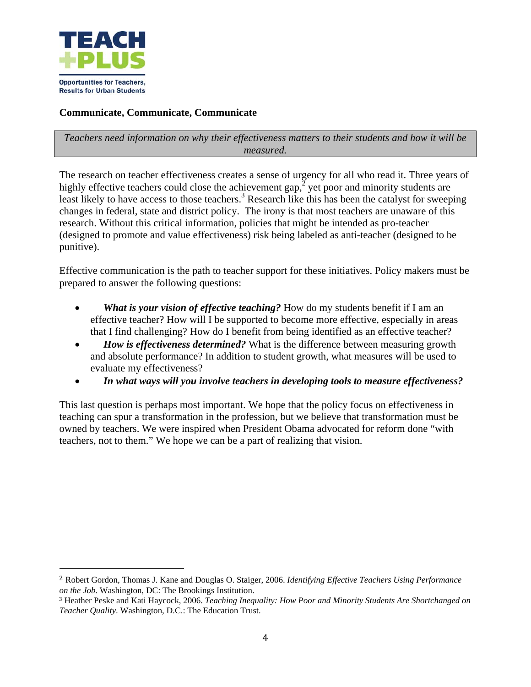

# **Communicate, Communicate, Communicate**

## *Teachers need information on why their effectiveness matters to their students and how it will be measured.*

The research on teacher effectiveness creates a sense of urgency for all who read it. Three years of highly effective teachers could close the achievement gap,  $\frac{3}{2}$  yet poor and minority students are least likely to have access to those teachers.<sup>3</sup> Research like this has been the catalyst for sweeping changes in federal, state and district policy. The irony is that most teachers are unaware of this research. Without this critical information, policies that might be intended as pro-teacher (designed to promote and value effectiveness) risk being labeled as anti-teacher (designed to be punitive).

Effective communication is the path to teacher support for these initiatives. Policy makers must be prepared to answer the following questions:

- *What is your vision of effective teaching?* How do my students benefit if I am an effective teacher? How will I be supported to become more effective, especially in areas that I find challenging? How do I benefit from being identified as an effective teacher?
- *How is effectiveness determined?* What is the difference between measuring growth and absolute performance? In addition to student growth, what measures will be used to evaluate my effectiveness?
- *In what ways will you involve teachers in developing tools to measure effectiveness?*

This last question is perhaps most important. We hope that the policy focus on effectiveness in teaching can spur a transformation in the profession, but we believe that transformation must be owned by teachers. We were inspired when President Obama advocated for reform done "with teachers, not to them." We hope we can be a part of realizing that vision.

<sup>2</sup> Robert Gordon, Thomas J. Kane and Douglas O. Staiger, 2006. *Identifying Effective Teachers Using Performance on the Job.* Washington, DC: The Brookings Institution.

<sup>3</sup> Heather Peske and Kati Haycock, 2006. *Teaching Inequality: How Poor and Minority Students Are Shortchanged on Teacher Quality*. Washington, D.C.: The Education Trust.